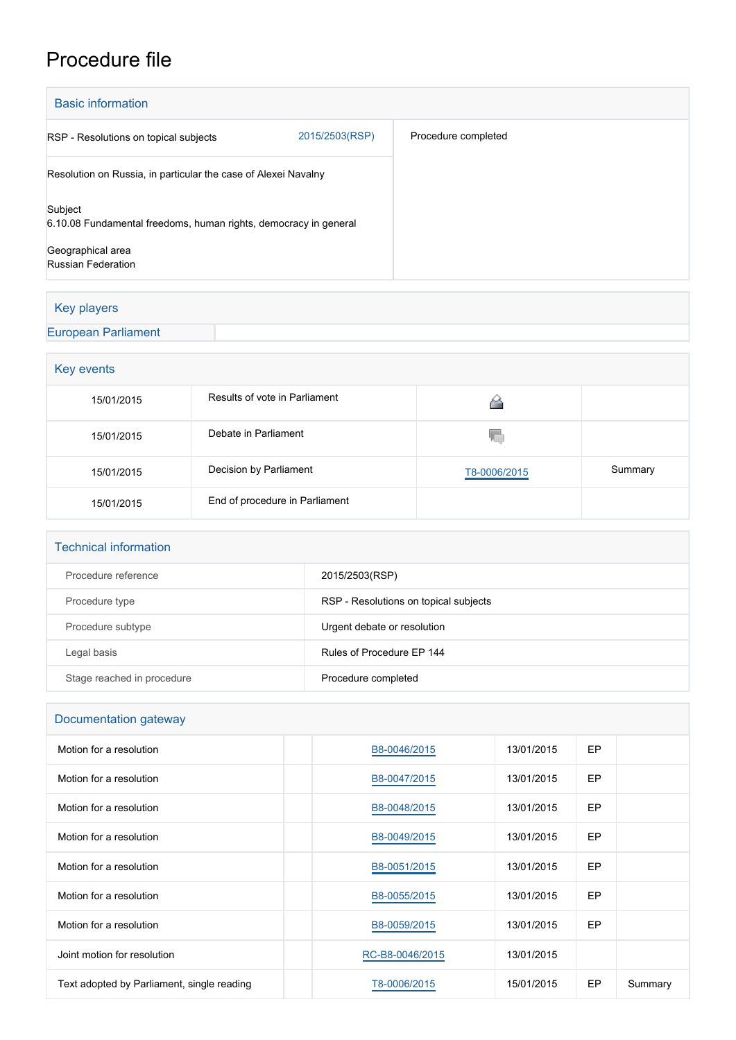## Procedure file

| <b>Basic information</b>                                                    |                |                     |
|-----------------------------------------------------------------------------|----------------|---------------------|
| RSP - Resolutions on topical subjects                                       | 2015/2503(RSP) | Procedure completed |
| Resolution on Russia, in particular the case of Alexei Navalny              |                |                     |
| Subject<br>6.10.08 Fundamental freedoms, human rights, democracy in general |                |                     |
| Geographical area<br>Russian Federation                                     |                |                     |

## Key players

## [European Parliament](http://www.europarl.europa.eu/)

| Key events |                                |              |         |  |  |
|------------|--------------------------------|--------------|---------|--|--|
| 15/01/2015 | Results of vote in Parliament  |              |         |  |  |
| 15/01/2015 | Debate in Parliament           | Y.           |         |  |  |
| 15/01/2015 | Decision by Parliament         | T8-0006/2015 | Summary |  |  |
| 15/01/2015 | End of procedure in Parliament |              |         |  |  |

| <b>Technical information</b> |                                       |  |  |  |
|------------------------------|---------------------------------------|--|--|--|
| Procedure reference          | 2015/2503(RSP)                        |  |  |  |
| Procedure type               | RSP - Resolutions on topical subjects |  |  |  |
| Procedure subtype            | Urgent debate or resolution           |  |  |  |
| Legal basis                  | Rules of Procedure EP 144             |  |  |  |
| Stage reached in procedure   | Procedure completed                   |  |  |  |

| Documentation gateway                      |                 |            |           |         |  |  |
|--------------------------------------------|-----------------|------------|-----------|---------|--|--|
| Motion for a resolution                    | B8-0046/2015    | 13/01/2015 | EP.       |         |  |  |
| Motion for a resolution                    | B8-0047/2015    | 13/01/2015 | <b>EP</b> |         |  |  |
| Motion for a resolution                    | B8-0048/2015    | 13/01/2015 | EP.       |         |  |  |
| Motion for a resolution                    | B8-0049/2015    | 13/01/2015 | <b>EP</b> |         |  |  |
| Motion for a resolution                    | B8-0051/2015    | 13/01/2015 | EP.       |         |  |  |
| Motion for a resolution                    | B8-0055/2015    | 13/01/2015 | EP        |         |  |  |
| Motion for a resolution                    | B8-0059/2015    | 13/01/2015 | EP        |         |  |  |
| Joint motion for resolution                | RC-B8-0046/2015 | 13/01/2015 |           |         |  |  |
| Text adopted by Parliament, single reading | T8-0006/2015    | 15/01/2015 | EP        | Summary |  |  |